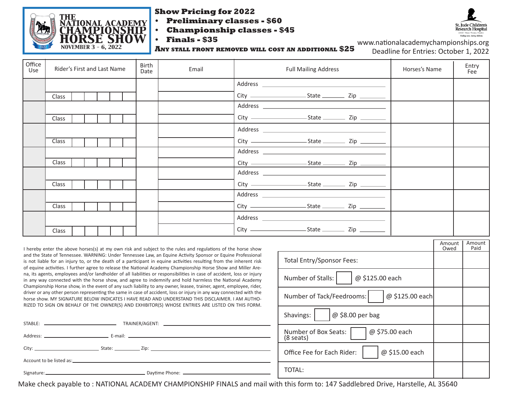

#### **Show Pricing for 2022**

- **• Preliminary classes \$60**
- **• Championship classes \$45**



**• Finals - \$35**

**Any stall front removed will cost an additional \$25**

www.nationalacademychampionships.org Deadline for Entries: October 1, 2022

| Office<br>Use | Rider's First and Last Name | <b>Birth</b><br>Email<br><b>Full Mailing Address</b><br>Date |  |  |  | Entry<br>Fee |
|---------------|-----------------------------|--------------------------------------------------------------|--|--|--|--------------|
|               |                             |                                                              |  |  |  |              |
|               | Class                       |                                                              |  |  |  |              |
|               |                             |                                                              |  |  |  |              |
|               | Class                       |                                                              |  |  |  |              |
|               |                             |                                                              |  |  |  |              |
|               | Class                       |                                                              |  |  |  |              |
|               |                             |                                                              |  |  |  |              |
|               | Class                       |                                                              |  |  |  |              |
|               |                             |                                                              |  |  |  |              |
|               | <b>Class</b>                |                                                              |  |  |  |              |
|               |                             |                                                              |  |  |  |              |
|               | Class                       |                                                              |  |  |  |              |
|               |                             |                                                              |  |  |  |              |
|               | <b>Class</b>                |                                                              |  |  |  |              |

I hereby enter the above horses(s) at my own risk and subject to the rules and regulations of the horse show and the State of Tennessee. WARNING: Under Tennessee Law, an Equine Activity Sponsor or Equine Professional is not liable for an injury to, or the death of a participant in equine activities resulting from the inherent risk of equine activities. I further agree to release the National Academy Championship Horse Show and Miller Arena, its agents, employees and/or landholder of all liabilities or responsibilities in case of accident, loss or injury in any way connected with the horse show, and agree to indemnify and hold harmless the National Academy Championship Horse show, in the event of any such liability to any owner, leasee, trainer, agent, employee, rider, driver or any other person representing the same in case of accident, loss or injury in any way connected with the horse show. MY SIGNATURE BELOW INDICATES I HAVE READ AND UNDERSTAND THIS DISCLAIMER. I AM AUTHO-RIZED TO SIGN ON BEHALF OF THE OWNER(S) AND EXHIBITOR(S) WHOSE ENTRIES ARE LISTED ON THIS FORM.

| Account to be listed as: University of the second service of the service of the service of the service of the service of the service of the service of the service of the service of the service of the service of the service |  |
|--------------------------------------------------------------------------------------------------------------------------------------------------------------------------------------------------------------------------------|--|
|                                                                                                                                                                                                                                |  |

|                                                     | Amount<br>Owed | Amount<br>Paid |
|-----------------------------------------------------|----------------|----------------|
| Total Entry/Sponsor Fees:                           |                |                |
| Number of Stalls:<br>@ \$125.00 each                |                |                |
| @ \$125.00 each<br>Number of Tack/Feedrooms:        |                |                |
| Shavings:<br>$@$ \$8.00 per bag                     |                |                |
| @ \$75.00 each<br>Number of Box Seats:<br>(8 seats) |                |                |
| @ \$15.00 each<br>Office Fee for Each Rider:        |                |                |
| ΤΟΤΑΙ :                                             |                |                |

Make check payable to : NATIONAL ACADEMY CHAMPIONSHIP FINALS and mail with this form to: 147 Saddlebred Drive, Harstelle, AL 35640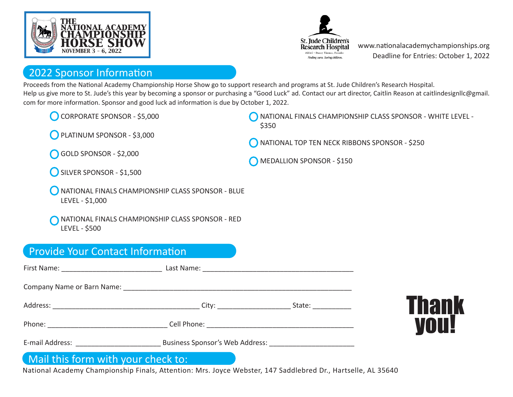



www.nationalacademychampionships.org Deadline for Entries: October 1, 2022

#### 2022 Sponsor Information

Proceeds from the National Academy Championship Horse Show go to support research and programs at St. Jude Children's Research Hospital. Help us give more to St. Jude's this year by becoming a sponsor or purchasing a "Good Luck" ad. Contact our art director, Caitlin Reason at caitlindesignllc@gmail. com for more information. Sponsor and good luck ad information is due by October 1, 2022.

CORPORATE SPONSOR - \$5,000

PLATINUM SPONSOR - \$3,000

NATIONAL FINALS CHAMPIONSHIP CLASS SPONSOR - WHITE LEVEL - \$350

NATIONAL TOP TEN NECK RIBBONS SPONSOR - \$250

MEDALLION SPONSOR - \$150

GOLD SPONSOR - \$2,000

SILVER SPONSOR - \$1,500

NATIONAL FINALS CHAMPIONSHIP CLASS SPONSOR - BLUE LEVEL - \$1,000

NATIONAL FINALS CHAMPIONSHIP CLASS SPONSOR - RED LEVEL - \$500

### Provide Your Contact Information

|                 |                                 | State: ___________ |  |  |  |  |
|-----------------|---------------------------------|--------------------|--|--|--|--|
|                 |                                 |                    |  |  |  |  |
| E-mail Address: | Business Sponsor's Web Address: |                    |  |  |  |  |

### Thank you!

#### Mail this form with your check to:

National Academy Championship Finals, Attention: Mrs. Joyce Webster, 147 Saddlebred Dr., Hartselle, AL 35640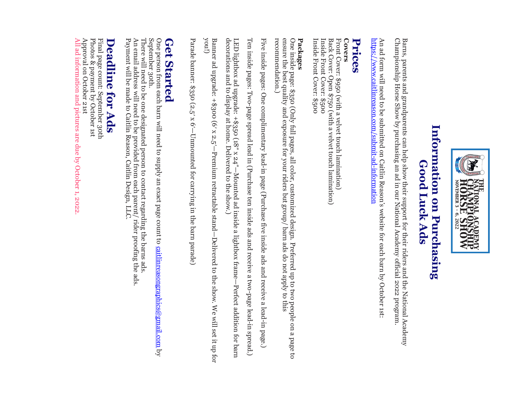

# Information on Purchasing **Information on Purchasing Good Luck Ads Good Luck Ads**

Championship Horse Show by purchasing an ad in our National Academy official 202 Barns, parents and grandparents can help show their support for their riders and the National Academy Barns, parents and grandparents can help show their support for their riders and the National Academy<br>Championship Horse Show by purchasing an ad in our National Academy official 2022 program. program.

<u>https://www.caitlinreason.com/submit-ad-information</u> https://www.caitlinreason.com/submit An ad form will need to be submitted on Caitlin Reason's website for each barn by October 1st: An ad form will need to be submitted on Caitlin Reason's website for each barn by October 1st: -ad-information

## **Prices**

### **Covers**

Inside Front Cover: \$500 Inside Front Cover: \$500 Front Cover: \$950 (with a velvet touch lamination) Inside Front Cover: \$500 Inside Front Cover: \$500 Back Cover: Open \$750 (with a velvet touch lamination) Back Cover: Open \$750 (with a velvet touch lamination) Cover: \$950 (with a velvet touch lamination)

## **Packages**

recommendation.) ensure the best quality and exposure for your riders but group/ barn ads do not apply to this One inside page: \$350 (Only full pages, all color, customized design. Preferred up to two people on a page to recommendation.) ensure the best quality and exposure for your riders but group/ barn ads do not apply to this de page: \$350 (Only full pages, all color, customized design. Preferred up to two people on a page to

Five inside pages: One complimentary lead-in page (Purchase five inside ads and receive a lead-in page.) Five inside pages: One complimentary lead -in page (Purchase five inside ads and receive a lead-in page.)

Ten inside pages: Two-page spread lead in (Purchase ten inside ads and receive a two-page lead-in spread.) Ten inside pages: Two-page spread lead in (Purchase ten inside ads and receive a two-page lead-in spread.)

LED lightbox ad upgrade: +\$350 (18″ x 24″—Mounted ad inside a lightbox frame—Perfect addition for barn decorations and to display at home. Delivered to the show.)

Banner ad upgrade: +\$300 (6′ x 2.5′—Premium retractable stand—Delivered to the show. We will set it up for you!)

Parade banner: \$350 (2.5∫ x 6′ —Unmounted for carrying in the barn parade)

### Get **Get Started Started**

September 30th. One person from each barn will need to supply an exact page count to <u>caitlinreasongraphics@gmail.com</u> by September 30th. One person from each barn will need to supply an exact page count to caitlinreasongraphics@gmail.com

Payment will be made to Caitlin Reason, Caitlin Design, LLC. An email address will need to be provided from each parent/ rider proofing the ads An email address will need to be provided from each parent/ rider proofing the ads. There will need to be one designated person to contact regarding the barns ads. There will need to be one designated person to contact regarding the barns ads. Payment will be made to Caitlin Reason, Caitlin Design, LLC.

# **Deadline for Ads Deadline for Ads**

All ad information and pictures are due by October 1, 2022 Approval on October 21st Approval on October 21st Final page count: September 3oth<br>Photos & payment by October 1st Photos & payment by Octobe Final page count: September 30th information and pictures are due by October 1, 2022.